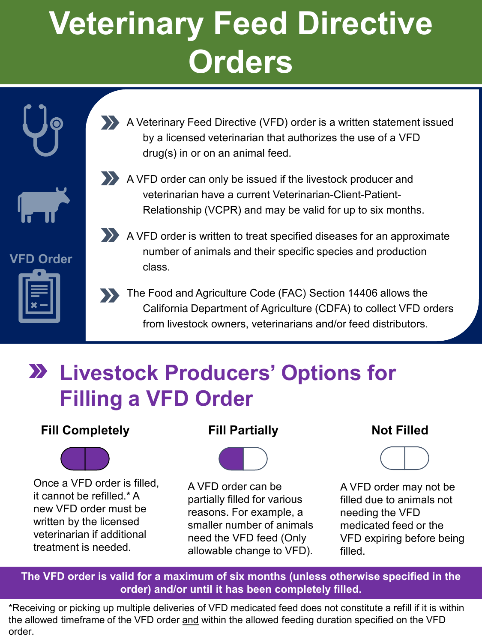# **Veterinary Feed Directive Orders**

**VFD Order**

A Veterinary Feed Directive (VFD) order is a written statement issued by a licensed veterinarian that authorizes the use of a VFD drug(s) in or on an animal feed.



A VFD order can only be issued if the livestock producer and veterinarian have a current Veterinarian-Client-Patient-Relationship (VCPR) and may be valid for up to six months.



- A VFD order is written to treat specified diseases for an approximate number of animals and their specific species and production class.
- The Food and Agriculture Code (FAC) Section 14406 allows the California Department of Agriculture (CDFA) to collect VFD orders from livestock owners, veterinarians and/or feed distributors.

### **Livestock Producers' Options for Filling a VFD Order**

### **Fill Completely**



Once a VFD order is filled, it cannot be refilled \* A new VFD order must be written by the licensed veterinarian if additional treatment is needed.

#### **Fill Partially**



A VFD order can be partially filled for various reasons. For example, a smaller number of animals need the VFD feed (Only allowable change to VFD).

#### **Not Filled**



A VFD order may not be filled due to animals not needing the VFD medicated feed or the VFD expiring before being filled.

**The VFD order is valid for a maximum of six months (unless otherwise specified in the order) and/or until it has been completely filled.**

\*Receiving or picking up multiple deliveries of VFD medicated feed does not constitute a refill if it is within the allowed timeframe of the VFD order and within the allowed feeding duration specified on the VFD order.